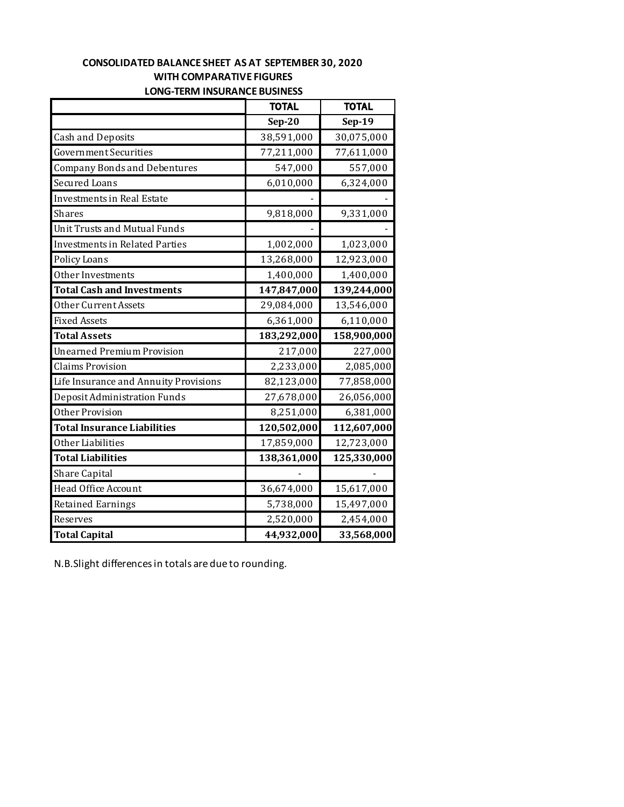### **CONSOLIDATED BALANCE SHEET AS AT SEPTEMBER 30, 2020 WITH COMPARATIVE FIGURES LONG-TERM INSURANCE BUSINESS**

|                                       | <b>TOTAL</b> | <b>TOTAL</b> |
|---------------------------------------|--------------|--------------|
|                                       | $Sep-20$     | $Sep-19$     |
| <b>Cash and Deposits</b>              | 38,591,000   | 30,075,000   |
| Government Securities                 | 77,211,000   | 77,611,000   |
| <b>Company Bonds and Debentures</b>   | 547,000      | 557,000      |
| <b>Secured Loans</b>                  | 6,010,000    | 6,324,000    |
| Investments in Real Estate            |              |              |
| <b>Shares</b>                         | 9,818,000    | 9,331,000    |
| Unit Trusts and Mutual Funds          |              |              |
| <b>Investments in Related Parties</b> | 1,002,000    | 1,023,000    |
| Policy Loans                          | 13,268,000   | 12,923,000   |
| Other Investments                     | 1,400,000    | 1,400,000    |
| <b>Total Cash and Investments</b>     | 147,847,000  | 139,244,000  |
| Other Current Assets                  | 29,084,000   | 13,546,000   |
| <b>Fixed Assets</b>                   | 6,361,000    | 6,110,000    |
| <b>Total Assets</b>                   | 183,292,000  | 158,900,000  |
| <b>Unearned Premium Provision</b>     | 217,000      | 227,000      |
| <b>Claims Provision</b>               | 2,233,000    | 2,085,000    |
| Life Insurance and Annuity Provisions | 82,123,000   | 77,858,000   |
| Deposit Administration Funds          | 27,678,000   | 26,056,000   |
| Other Provision                       | 8,251,000    | 6,381,000    |
| <b>Total Insurance Liabilities</b>    | 120,502,000  | 112,607,000  |
| Other Liabilities                     | 17,859,000   | 12,723,000   |
| <b>Total Liabilities</b>              | 138,361,000  | 125,330,000  |
| Share Capital                         |              |              |
| Head Office Account                   | 36,674,000   | 15,617,000   |
| <b>Retained Earnings</b>              | 5,738,000    | 15,497,000   |
| Reserves                              | 2,520,000    | 2,454,000    |
| <b>Total Capital</b>                  | 44,932,000   | 33,568,000   |

N.B.Slight differences in totals are due to rounding.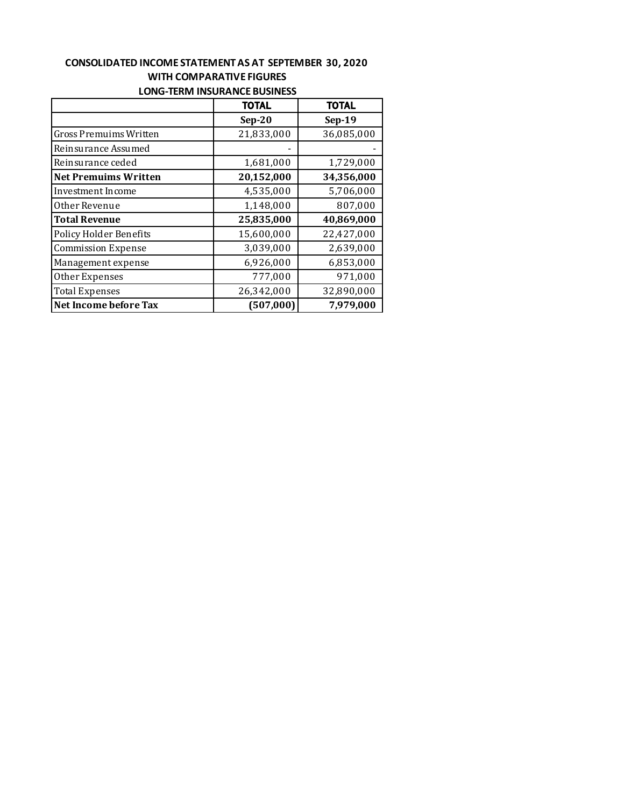#### **CONSOLIDATED INCOME STATEMENT AS AT SEPTEMBER 30, 2020 WITH COMPARATIVE FIGURES LONG-TERM INSURANCE BUSINESS**

|                               | <b>TOTAL</b> | <b>TOTAL</b> |  |
|-------------------------------|--------------|--------------|--|
|                               | $Sep-20$     | $Sep-19$     |  |
| Gross Premuims Written        | 21,833,000   | 36,085,000   |  |
| Reinsurance Assumed           |              |              |  |
| Reinsurance ceded             | 1,681,000    | 1,729,000    |  |
| <b>Net Premuims Written</b>   | 20,152,000   | 34,356,000   |  |
| Investment Income             | 4,535,000    | 5,706,000    |  |
| Other Revenue                 | 1,148,000    | 807,000      |  |
| <b>Total Revenue</b>          | 25,835,000   | 40,869,000   |  |
| <b>Policy Holder Benefits</b> | 15,600,000   | 22,427,000   |  |
| <b>Commission Expense</b>     | 3,039,000    | 2,639,000    |  |
| Management expense            | 6,926,000    | 6,853,000    |  |
| Other Expenses                | 777,000      | 971,000      |  |
| <b>Total Expenses</b>         | 26,342,000   | 32,890,000   |  |
| Net Income before Tax         | (507,000)    | 7,979,000    |  |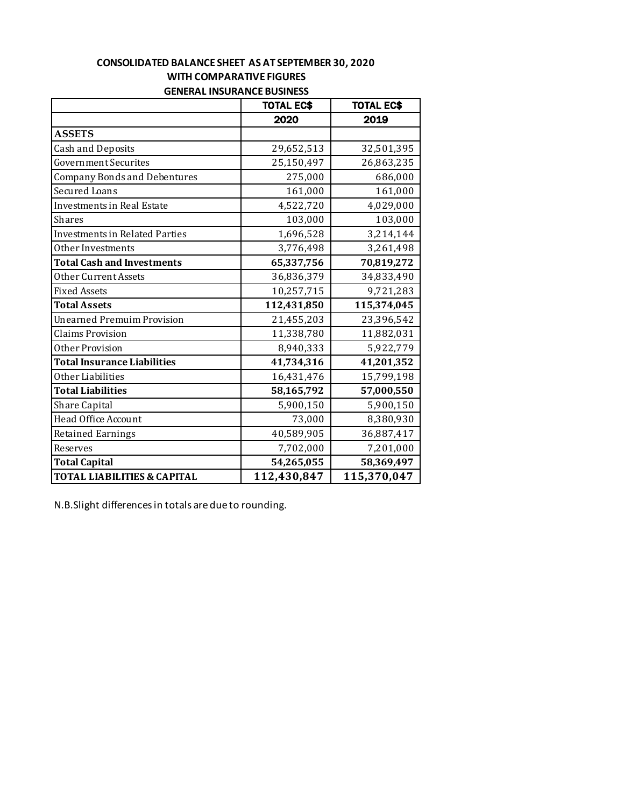#### **CONSOLIDATED BALANCE SHEET AS AT SEPTEMBER 30, 2020 WITH COMPARATIVE FIGURES GENERAL INSURANCE BUSINESS**

|                                        | <b>TOTAL EC\$</b> | <b>TOTAL EC\$</b> |
|----------------------------------------|-------------------|-------------------|
|                                        | 2020              | 2019              |
| <b>ASSETS</b>                          |                   |                   |
| <b>Cash and Deposits</b>               | 29,652,513        | 32,501,395        |
| <b>Government Securites</b>            | 25,150,497        | 26,863,235        |
| <b>Company Bonds and Debentures</b>    | 275,000           | 686,000           |
| <b>Secured Loans</b>                   | 161,000           | 161,000           |
| <b>Investments in Real Estate</b>      | 4,522,720         | 4,029,000         |
| Shares                                 | 103,000           | 103,000           |
| <b>Investments in Related Parties</b>  | 1,696,528         | 3,214,144         |
| Other Investments                      | 3,776,498         | 3,261,498         |
| <b>Total Cash and Investments</b>      | 65,337,756        | 70,819,272        |
| Other Current Assets                   | 36,836,379        | 34,833,490        |
| <b>Fixed Assets</b>                    | 10,257,715        | 9,721,283         |
| <b>Total Assets</b>                    | 112,431,850       | 115,374,045       |
| <b>Unearned Premuim Provision</b>      | 21,455,203        | 23,396,542        |
| <b>Claims Provision</b>                | 11,338,780        | 11,882,031        |
| Other Provision                        | 8,940,333         | 5,922,779         |
| <b>Total Insurance Liabilities</b>     | 41,734,316        | 41,201,352        |
| Other Liabilities                      | 16,431,476        | 15,799,198        |
| <b>Total Liabilities</b>               | 58,165,792        | 57,000,550        |
| Share Capital                          | 5,900,150         | 5,900,150         |
| Head Office Account                    | 73,000            | 8,380,930         |
| <b>Retained Earnings</b>               | 40,589,905        | 36,887,417        |
| Reserves                               | 7,702,000         | 7,201,000         |
| <b>Total Capital</b>                   | 54,265,055        | 58,369,497        |
| <b>TOTAL LIABILITIES &amp; CAPITAL</b> | 112,430,847       | 115,370,047       |

N.B.Slight differences in totals are due to rounding.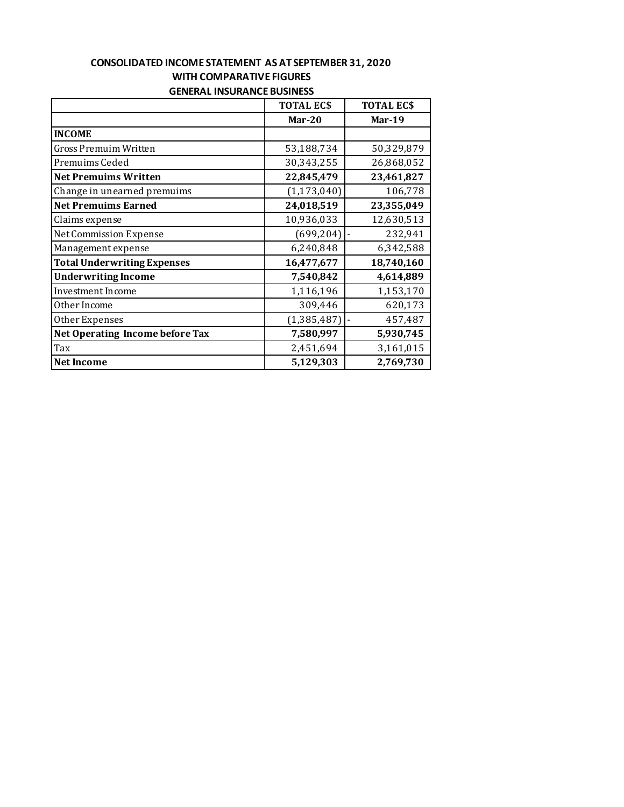| WITH COMPARATIVE FIGURES           |                  |                  |  |
|------------------------------------|------------------|------------------|--|
| <b>GENERAL INSURANCE BUSINESS</b>  |                  |                  |  |
|                                    | <b>TOTAL ECS</b> | <b>TOTAL ECS</b> |  |
|                                    | $Mar-20$         | Mar-19           |  |
| <b>INCOME</b>                      |                  |                  |  |
| Gross Premuim Written              | 53,188,734       | 50,329,879       |  |
| Premuims Ceded                     | 30,343,255       | 26,868,052       |  |
| <b>Net Premuims Written</b>        | 22,845,479       | 23,461,827       |  |
| Change in unearned premuims        | (1, 173, 040)    | 106,778          |  |
| <b>Net Premuims Earned</b>         | 24,018,519       | 23,355,049       |  |
| Claims expense                     | 10,936,033       | 12,630,513       |  |
| <b>Net Commission Expense</b>      | (699, 204)       | 232,941          |  |
| Management expense                 | 6,240,848        | 6,342,588        |  |
| <b>Total Underwriting Expenses</b> | 16,477,677       | 18,740,160       |  |
| <b>Underwriting Income</b>         | 7,540,842        | 4,614,889        |  |
| Investment Income                  | 1,116,196        | 1,153,170        |  |
| Other Income                       | 309,446          | 620,173          |  |
| Other Expenses                     | (1, 385, 487)    | 457,487          |  |
| Net Operating Income before Tax    | 7,580,997        | 5,930,745        |  |
| Tax                                | 2,451,694        | 3,161,015        |  |

**Net Income 5,129,303 2,769,730** 

# **CONSOLIDATED INCOME STATEMENT AS AT SEPTEMBER 31, 2020 WITH COMPARATIVE FIGURES**